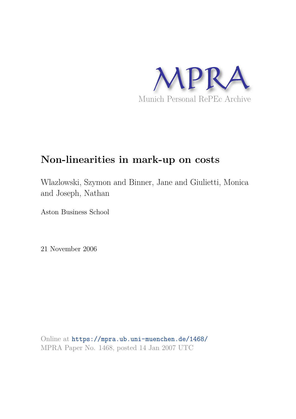

# **Non-linearities in mark-up on costs**

Wlazlowski, Szymon and Binner, Jane and Giulietti, Monica and Joseph, Nathan

Aston Business School

21 November 2006

Online at https://mpra.ub.uni-muenchen.de/1468/ MPRA Paper No. 1468, posted 14 Jan 2007 UTC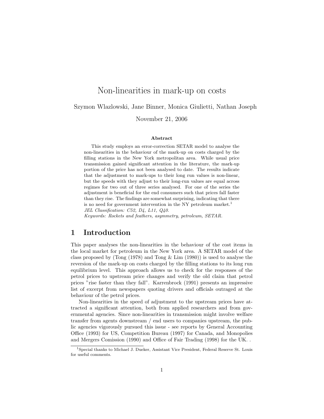# Non-linearities in mark-up on costs

Szymon Wlazlowski, Jane Binner, Monica Giulietti, Nathan Joseph

November 21, 2006

#### Abstract

This study employs an error-correction SETAR model to analyse the non-linearities in the behaviour of the mark-up on costs charged by the filling stations in the New York metropolitan area. While usual price transmission gained significant attention in the literature, the mark-up portion of the price has not been analysed to date. The results indicate that the adjustment to mark-ups to their long run values is non-linear, but the speeds with they adjust to their long-run values are equal across regimes for two out of three series analysed. For one of the series the adjustment is beneficial for the end consumers such that prices fall faster than they rise. The findings are somewhat surprising, indicating that there is no need for government intervention in the NY petroleum market.<sup>1</sup> JEL Classification: C52, D4, L11, Q40. Keywords: Rockets and feathers, asymmetry, petroleum, SETAR.

## 1 Introduction

This paper analyses the non-linearities in the behaviour of the cost items in the local market for petroleum in the New York area. A SETAR model of the class proposed by (Tong (1978) and Tong & Lim (1980)) is used to analyse the reversion of the mark-up on costs charged by the filling stations to its long run equilibrium level. This approach allows us to check for the responses of the petrol prices to upstream price changes and verify the old claim that petrol prices "rise faster than they fall". Karrenbrock (1991) presents an impressive list of excerpt from newspapers quoting drivers and officials outraged at the behaviour of the petrol prices.

Non-linearities in the speed of adjustment to the upstream prices have attracted a significant attention, both from applied researchers and from governmental agencies. Since non-linearities in transmission might involve welfare transfer from agents downstream / end users to companies upstream, the public agencies vigorously pursued this issue - see reports by General Accounting Office (1993) for US, Competition Bureau (1997) for Canada, and Monopolies and Mergers Comission (1990) and Office of Fair Trading (1998) for the UK. .

<sup>&</sup>lt;sup>1</sup>Special thanks to Michael J. Dueker, Assistant Vice President, Federal Reserve St. Louis for useful comments.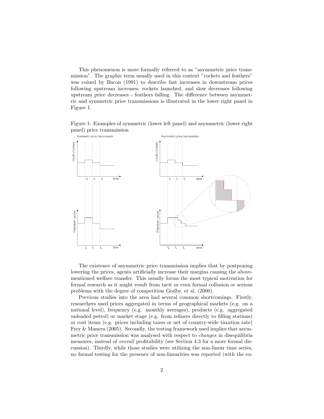This phenomenon is more formally referred to as "asymmetric price transmission". The graphic term usually used in this context "rockets and feathers" was coined by Bacon (1991) to describe fast increases in downstream prices following upstream increases- rockets launched, and slow decreases following upstream price decreases - feathers falling. The difference between asymmetric and symmetric price transmissions is illustrated in the lower right panel in Figure 1.

Figure 1: Examples of symmetric (lower left panel) and asymmetric (lower right panel) price transmission



The existence of asymmetric price transmission implies that by postponing lowering the prices, agents artificially increase their margins causing the abovementioned welfare transfer. This usually forms the most typical motivation for formal research as it might result from tacit or even formal collusion or serious problems with the degree of competition Godby, et al. (2000).

Previous studies into the area had several common shortcomings. Firstly, researchers used prices aggregated in terms of geographical markets (e.g. on a national level), frequency (e.g. monthly averages), products (e.g. aggregated unleaded petrol) or market stage (e.g. from refiners directly to filling stations) or cost items (e.g. prices including taxes or net of country-wide taxation rate) Frey & Manera (2005). Secondly, the testing framework used implies that asymmetric price transmission was analysed with respect to changes in disequilibria measures, instead of overall profitability (see Section 4.3 for a more formal discussion). Thirdly, while those studies were utilizing the non-linear time series, no formal testing for the presence of non-linearities was reported (with the ex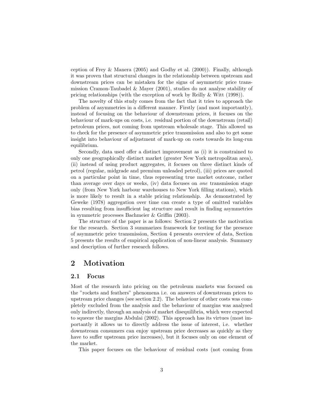ception of Frey & Manera  $(2005)$  and Godby et al.  $(2000)$ ). Finally, although it was proven that structural changes in the relationship between upstream and downstream prices can be mistaken for the signs of asymmetric price transmission Cramon-Taubadel & Mayer (2001), studies do not analyse stability of pricing relationships (with the exception of work by Reilly & Witt (1998)).

The novelty of this study comes from the fact that it tries to approach the problem of asymmetries in a different manner. Firstly (and most importantly), instead of focusing on the behaviour of downstream prices, it focuses on the behaviour of mark-ups on costs, i.e. residual portion of the downstream (retail) petroleum prices, not coming from upstream wholesale stage. This allowed us to check for the presence of asymmetric price transmission and also to get some insight into behaviour of adjustment of mark-up on costs towards its long-run equilibrium.

Secondly, data used offer a distinct improvement as (i) it is constrained to only one geographically distinct market (greater New York metropolitan area), (ii) instead of using product aggregates, it focuses on three distinct kinds of petrol (regular, midgrade and premium unleaded petrol), (iii) prices are quoted on a particular point in time, thus representing true market outcome, rather than average over days or weeks, (iv) data focuses on one transmission stage only (from New York harbour warehouses to New York filling stations), which is more likely to result in a stable pricing relationship. As demonstrated by Geweke (1978) aggregation over time can create a type of omitted variables bias resulting from insufficient lag structure and result in finding asymmetries in symmetric processes Bachmeier & Griffin (2003).

The structure of the paper is as follows: Section 2 presents the motivation for the research. Section 3 summarizes framework for testing for the presence of asymmetric price transmission, Section 4 presents overview of data, Section 5 presents the results of empirical application of non-linear analysis. Summary and description of further research follows.

## 2 Motivation

#### 2.1 Focus

Most of the research into pricing on the petroleum markets was focused on the "rockets and feathers" phenomena i.e. on answers of downstream prices to upstream price changes (see section 2.2). The behaviour of other costs was completely excluded from the analysis and the behaviour of margins was analysed only indirectly, through an analysis of market disequilibria, which were expected to squeeze the margins Abdulai (2002). This approach has its virtues (most importantly it allows us to directly address the issue of interest, i.e. whether downstream consumers can enjoy upstream price decreases as quickly as they have to suffer upstream price increases), but it focuses only on one element of the market.

This paper focuses on the behaviour of residual costs (not coming from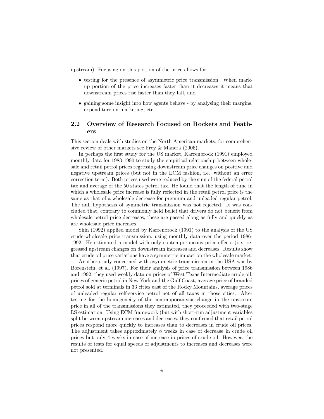upstream). Focusing on this portion of the price allows for:

- testing for the presence of asymmetric price transmission. When markup portion of the price increases faster than it decreases it means that downstream prices rise faster than they fall, and
- gaining some insight into how agents behave by analysing their margins, expenditure on marketing, etc.

#### 2.2 Overview of Research Focused on Rockets and Feathers

This section deals with studies on the North American markets, for comprehensive review of other markets see Frey & Manera (2005).

In perhaps the first study for the US market, Karrenbrock (1991) employed monthly data for 1983-1990 to study the empirical relationship between wholesale and retail petrol prices regressing downstream price changes on positive and negative upstream prices (but not in the ECM fashion, i.e. without an error correction term). Both prices used were reduced by the sum of the federal petrol tax and average of the 50 states petrol tax. He found that the length of time in which a wholesale price increase is fully reflected in the retail petrol price is the same as that of a wholesale decrease for premium and unleaded regular petrol. The null hypothesis of symmetric transmission was not rejected. It was concluded that, contrary to commonly held belief that drivers do not benefit from wholesale petrol price decreases; these are passed along as fully and quickly as are wholesale price increases.

Shin (1992) applied model by Karrenbrock (1991) to the analysis of the US crude-wholesale price transmission, using monthly data over the period 1986- 1992. He estimated a model with only contemporaneous price effects (i.e. regressed upstream changes on downstream increases and decreases. Results show that crude oil price variations have a symmetric impact on the wholesale market.

Another study concerned with asymmetric transmission in the USA was by Borenstein, et al. (1997). For their analysis of price transmission between 1986 and 1992, they used weekly data on prices of West Texas Intermediate crude oil, prices of generic petrol in New York and the Gulf Coast, average price of branded petrol sold at terminals in 33 cities east of the Rocky Mountains, average prices of unleaded regular self-service petrol net of all taxes in those cities. After testing for the homogeneity of the contemporaneous change in the upstream price in all of the transmissions they estimated, they proceeded with two-stage LS estimation. Using ECM framework (but with short-run adjustment variables split between upstream increases and decreases, they confirmed that retail petrol prices respond more quickly to increases than to decreases in crude oil prices. The adjustment takes approximately 8 weeks in case of decrease in crude oil prices but only 4 weeks in case of increase in prices of crude oil. However, the results of tests for equal speeds of adjustments to increases and decreases were not presented.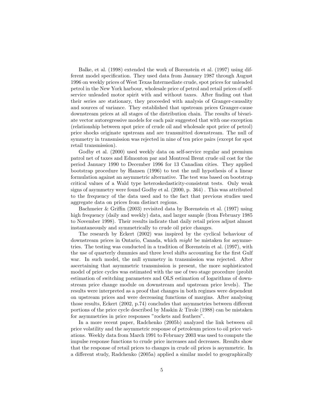Balke, et al. (1998) extended the work of Borenstein et al. (1997) using different model specification. They used data from January 1987 through August 1996 on weekly prices of West Texas Intermediate crude, spot prices for unleaded petrol in the New York harbour, wholesale price of petrol and retail prices of selfservice unleaded motor spirit with and without taxes. After finding out that their series are stationary, they proceeded with analysis of Granger-causality and sources of variance. They established that upstream prices Granger-cause downstream prices at all stages of the distribution chain. The results of bivariate vector autoregressive models for each pair suggested that with one exception (relationship between spot price of crude oil and wholesale spot price of petrol) price shocks originate upstream and are transmitted downstream. The null of symmetry in transmission was rejected in nine of ten price pairs (except for spot retail transmission).

Godby et al. (2000) used weekly data on self-service regular and premium patrol net of taxes and Edmonton par and Montreal Brent crude oil cost for the period January 1990 to December 1996 for 13 Canadian cities. They applied bootstrap procedure by Hansen (1996) to test the null hypothesis of a linear formulation against an asymmetric alternative. The test was based on bootstrap critical values of a Wald type heteroskedasticity-consistent tests. Only weak signs of asymmetry were found Godby et al. (2000, p. 364) . This was attributed to the frequency of the data used and to the fact that previous studies used aggregate data on prices from distinct regions.

Bachmeier & Griffin (2003) revisited data by Borenstein et al. (1997) using high frequency (daily and weekly) data, and larger sample (from February 1985 to November 1998). Their results indicate that daily retail prices adjust almost instantaneously and symmetrically to crude oil price changes.

The research by Eckert (2002) was inspired by the cyclical behaviour of downstream prices in Ontario, Canada, which might be mistaken for asymmetries. The testing was conducted in a tradition of Borenstein et al. (1997), with the use of quarterly dummies and three level shifts accounting for the first Gulf war. In such model, the null symmetry in transmission was rejected. After ascertaining that asymmetric transmission is present, the more sophisticated model of price cycles was estimated with the use of two stage procedure (probit estimation of switching parameters and OLS estimation of logarithms of downstream price change module on downstream and upstream price levels). The results were interpreted as a proof that changes in both regimes were dependent on upstream prices and were decreasing functions of margins. After analysing those results, Eckert (2002, p.74) concludes that asymmetries between different portions of the price cycle described by Maskin & Tirole (1988) can be mistaken for asymmetries in price responses "rockets and feathers".

In a more recent paper, Radchenko (2005b) analyzed the link between oil price volatility and the asymmetric response of petroleum prices to oil price variations. Weekly data from March 1991 to February 2003 was used to compute the impulse response functions to crude price increases and decreases. Results show that the response of retail prices to changes in crude oil prices is asymmetric. In a different study, Radchenko (2005a) applied a similar model to geographically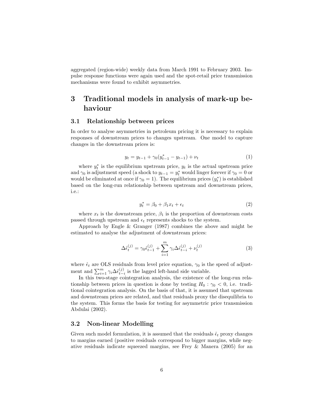aggregated (region-wide) weekly data from March 1991 to February 2003. Impulse response functions were again used and the spot-retail price transmission mechanisms were found to exhibit asymmetries.

## 3 Traditional models in analysis of mark-up behaviour

#### 3.1 Relationship between prices

In order to analyse asymmetries in petroleum pricing it is necessary to explain responses of downstream prices to changes upstream. One model to capture changes in the downstream prices is:

$$
y_t = y_{t-1} + \gamma_0 (y_{t-1}^* - y_{t-1}) + \nu_t \tag{1}
$$

where  $y_t^*$  is the equilibrium upstream price,  $y_t$  is the actual upstream price and  $\gamma_0$  is adjustment speed (a shock to  $y_{t-1} = y_t^*$  would linger forever if  $\gamma_0 = 0$  or would be eliminated at once if  $\gamma_0 = 1$ ). The equilibrium prices  $(y_t^*)$  is established based on the long-run relationship between upstream and downstream prices, i.e.:

$$
y_t^* = \beta_0 + \beta_1 x_t + \epsilon_t \tag{2}
$$

where  $x_t$  is the downstream price,  $\beta_1$  is the proportion of downstream costs passed through upstream and  $\epsilon_t$  represents shocks to the system.

Approach by Engle & Granger (1987) combines the above and might be estimated to analyse the adjustment of downstream prices:

$$
\Delta \hat{\epsilon}_t^{(j)} = \gamma_0 \hat{\epsilon}_{t-1}^{(j)} + \sum_{i=1}^m \gamma_i \Delta \hat{\epsilon}_{t-i}^{(j)} + \nu_t^{(j)}
$$
(3)

where  $\hat{\epsilon}_t$  are OLS residuals from level price equation,  $\gamma_0$  is the speed of adjustment and  $\sum_{i=1}^{m} \gamma_i \Delta \hat{\epsilon}_{t-i}^{(j)}$  is the lagged left-hand side variable.

In this two-stage cointegration analysis, the existence of the long-run relationship between prices in question is done by testing  $H_0$ :  $\gamma_0$  < 0, i.e. traditional cointegration analysis. On the basis of that, it is assumed that upstream and downstream prices are related, and that residuals proxy the disequilibria to the system. This forms the basis for testing for asymmetric price transmission Abdulai (2002).

#### 3.2 Non-linear Modelling

Given such model formulation, it is assumed that the residuals  $\hat{\epsilon}_t$  proxy changes to margins earned (positive residuals correspond to bigger margins, while negative residuals indicate squeezed margins, see Frey & Manera (2005) for an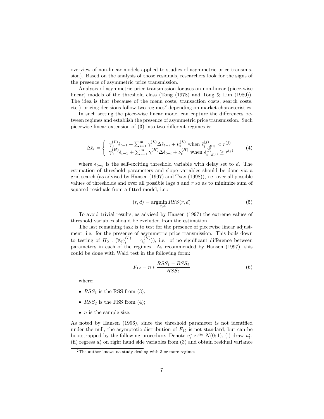overview of non-linear models applied to studies of asymmetric price transmission). Based on the analysis of those residuals, researchers look for the signs of the presence of asymmetric price transmission.

Analysis of asymmetric price transmission focuses on non-linear (piece-wise linear) models of the threshold class (Tong (1978) and Tong & Lim (1980)). The idea is that (because of the menu costs, transaction costs, search costs, etc.) pricing decisions follow two regimes<sup>2</sup> depending on market characteristics.

In such setting the piece-wise linear model can capture the differences between regimes and establish the presence of asymmetric price transmission. Such piecewise linear extension of (3) into two different regimes is:

$$
\Delta \hat{\epsilon}_t = \begin{cases}\n\gamma_0^{(L)} \hat{\epsilon}_{t-1} + \sum_{i=1}^m \gamma_i^{(L)} \Delta \hat{\epsilon}_{t-i} + \nu_t^{(L)} \text{ when } \hat{\epsilon}_{t-d^{(j)}}^{(j)} < r^{(j)} \\
\gamma_0^{(H)} \hat{\epsilon}_{t-1} + \sum_{i=1}^m \gamma_i^{(H)} \Delta \hat{\epsilon}_{t-i} + \nu_t^{(H)} \text{ when } \hat{\epsilon}_{t-d^{(j)}}^{(j)} \ge r^{(j)}\n\end{cases} \tag{4}
$$

where  $\epsilon_{t-d}$  is the self-exciting threshold variable with delay set to d. The estimation of threshold parameters and slope variables should be done via a grid search (as advised by Hansen (1997) and Tsay (1998)), i.e. over all possible values of thresholds and over all possible lags  $d$  and  $r$  so as to minimize sum of squared residuals from a fitted model, i.e.:

$$
(r,d) = \underset{r,d}{\text{argmin}} RSS(r,d)
$$
 (5)

To avoid trivial results, as advised by Hansen (1997) the extreme values of threshold variables should be excluded from the estimation.

The last remaining task is to test for the presence of piecewise linear adjustment, i.e. for the presence of asymmetric price transmission. This boils down to testing of  $H_0: (\forall_i \gamma_i^{(L)} = \gamma_i^{(H)})$ ), i.e. of no significant difference between parameters in each of the regimes. As recommended by Hansen (1997), this could be done with Wald test in the following form:

$$
F_{12} = n * \frac{RSS_1 - RSS_2}{RSS_2} \tag{6}
$$

where:

- $RSS<sub>1</sub>$  is the RSS from (3);
- $RSS_2$  is the RSS from (4);
- $\bullet$  *n* is the sample size.

As noted by Hansen (1996), since the threshold parameter is not identified under the null, the asymptotic distribution of  $F_{12}$  is not standard, but can be bootstrapped by the following procedure. Denote  $u_t^* \sim^{iid} N(0, 1)$ , (i) draw  $u_t^*$ , (ii) regress  $u_t^*$  on right hand side variables from (3) and obtain residual variance

<sup>2</sup>The author knows no study dealing with 3 or more regimes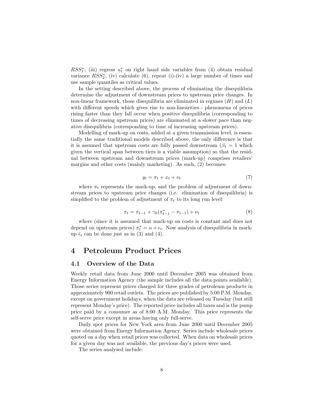$RSS_{1}^{*}$ , (iii) regress  $u_{t}^{*}$  on right hand side variables from (4) obtain residual variance  $RSS_2^*$ , (iv) calculate (6), repeat (i)-(iv) a large number of times and use sample quantiles as critical values.

In the setting described above, the process of eliminating the disequilibria determine the adjustment of downstream prices to upstream price changes. In non-linear framework, those disequilibria are eliminated in regimes  $(H)$  and  $(L)$ with different speeds which gives rise to non-linearities - phenomena of prices rising faster than they fall occur when positive disequilibria (corresponding to times of decreasing upstream prices) are eliminated at a slower pace than negative disequilibria (corresponding to time of increasing upstream prices).

Modelling of mark-up on costs, added at a given transmission level, is essentially the same traditional models described above, the only difference is that it is assumed that upstream costs are fully passed downstream  $(\beta_1 = 1$  which given the vertical span between tiers is a viable assumption) so that the residual between upstream and downstream prices (mark-up) comprises retailers' margins and other costs (mainly marketing). As such, (2) becomes:

$$
y_t = \pi_t + x_t + \nu_t \tag{7}
$$

where  $\pi_t$  represents the mark-up, and the problem of adjustment of downstream prices to upstream price changes (i.e. elimination of disequilibria) is simplified to the problem of adjustment of  $\pi_t$  to its long run level:

$$
\pi_t = \pi_{t-1} + \gamma_0 (\pi_{t-1}^* - \pi_{t-1}) + \nu_t \tag{8}
$$

where (since it is assumed that mark-up on costs is constant and does not depend on upstream prices)  $\pi_t^* = \alpha + \epsilon_t$ . Now analysis of disequilibria in markup  $\hat{\epsilon}_t$  can be done just as in (3) and (4).

## 4 Petroleum Product Prices

#### 4.1 Overview of the Data

Weekly retail data from June 2000 until December 2005 was obtained from Energy Information Agency (the sample includes all the data points available). Those series represent prices charged for three grades of petroleum products in approximately 900 retail outlets. The prices are published by 5:00 P.M. Monday, except on government holidays, when the data are released on Tuesday (but still represent Monday's price). The reported price includes all taxes and is the pump price paid by a consumer as of 8:00 A.M. Monday. This price represents the self-serve price except in areas having only full-serve.

Daily spot prices for New York area from June 2000 until December 2005 were obtained from Energy Information Agency. Series include wholesale prices quoted on a day when retail prices was collected. When data on wholesale prices for a given day was not available, the previous day's prices were used.

The series analysed include: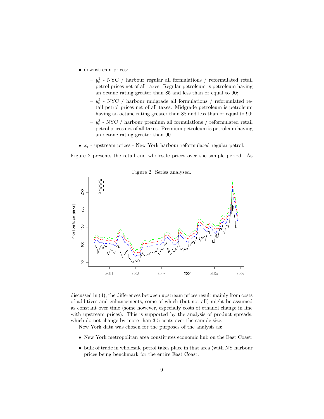- downstream prices:
	- $y_t^1$  NYC  $\,/$  harbour regular all formulations  $\,/$  reformulated retail petrol prices net of all taxes. Regular petroleum is petroleum having an octane rating greater than 85 and less than or equal to 90;
	- $y_t^2$  NYC  $\,/$  harbour midgrade all formulations  $\,/$  reformulated retail petrol prices net of all taxes. Midgrade petroleum is petroleum having an octane rating greater than 88 and less than or equal to 90;
	- $y_t^3$  NYC / harbour premium all formulations / reformulated retail petrol prices net of all taxes. Premium petroleum is petroleum having an octane rating greater than 90.
- $\bullet \; x_t$  upstream prices New York harbour reformulated regular petrol.

Figure 2 presents the retail and wholesale prices over the sample period. As



discussed in (4), the differences between upstream prices result mainly from costs of additives and enhancements, some of which (but not all) might be assumed as constant over time (some however, especially costs of ethanol change in line with upstream prices). This is supported by the analysis of product spreads, which do not change by more than 3-5 cents over the sample size.

New York data was chosen for the purposes of the analysis as:

- New York metropolitan area constitutes economic hub on the East Coast;
- bulk of trade in wholesale petrol takes place in that area (with NY harbour prices being benchmark for the entire East Coast.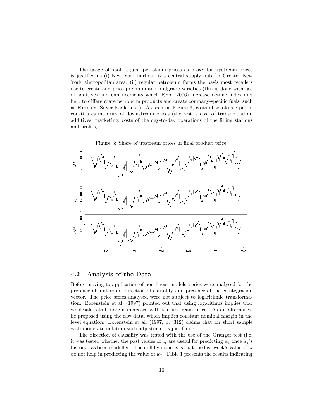The usage of spot regular petroleum prices as proxy for upstream prices is justified as (i) New York harbour is a central supply hub for Greater New York Metropolitan area, (ii) regular petroleum forms the basis most retailers use to create and price premium and midgrade varieties (this is done with use of additives and enhancements which RFA (2006) increase octane index and help to differentiate petroleum products and create company-specific fuels, such as Formula, Silver Eagle, etc.). As seen on Figure 3, costs of wholesale petrol constitutes majority of downstream prices (the rest is cost of transportation, additives, marketing, costs of the day-to-day operations of the filling stations and profits)



#### 4.2 Analysis of the Data

Before moving to application of non-linear models, series were analysed for the presence of unit roots, direction of causality and presence of the cointegration vector. The price series analysed were not subject to logarithmic transformation. Borenstein et al. (1997) pointed out that using logarithms implies that wholesale-retail margin increases with the upstream price. As an alternative he proposed using the raw data, which implies constant nominal margin in the level equation. Borenstein et al. (1997, p. 312) claims that for short sample with moderate inflation such adjustment is justifiable.

The direction of causality was tested with the use of the Granger test (i.e. it was tested whether the past values of  $z_t$  are useful for predicting  $w_t$  once  $w_t$ 's history has been modelled. The null hypothesis is that the last week's value of  $z_t$ do not help in predicting the value of  $w_t$ . Table 1 presents the results indicating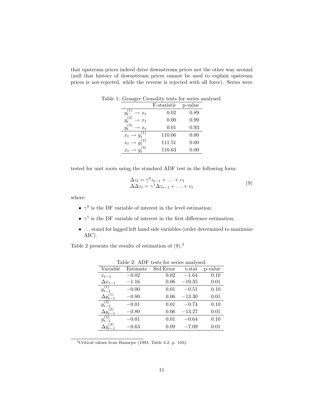that upstream prices indeed drive downstream prices not the other way around (null that history of downstream prices cannot be used to explain upstream prices is not-rejected, while the reverse is rejected with all force). Series were

|                    | F-statistic | p-value  |
|--------------------|-------------|----------|
| $x_t$              | 0.02        | 0.89     |
| $x_t$              | 0.00        | 0.99     |
| (3)<br>$x_{t}$     | 0.01        | 0.93     |
| $\boldsymbol{x}_t$ | 110.06      | 0.00     |
| $x_t$              | 111.51      | 0.00     |
| (3)<br>$x_t$       | 110.63      | $0.00\,$ |

Table 1: Granger Causality tests for series analysed.

tested for unit roots using the standard ADF test in the following form:

$$
\Delta z_t = \gamma^0 z_{t-1} + \dots + v_t
$$
  
\n
$$
\Delta \Delta z_t = \gamma^1 \Delta z_{t-1} + \dots + v_t
$$
\n(9)

where:

- $\gamma^0$  is the DF variable of interest in the level estimation;
- $\gamma^1$  is the DF variable of interest in the first difference estimation;
- $\bullet\,$   $\ldots$  stand for lagged left hand side variables (order determined to maximize AIC).

Table 2 presents the results of estimation of  $(9).<sup>3</sup>$ 

|                        |          | $\text{Table 2.11}$ versus for series aliarysed. |          |         |
|------------------------|----------|--------------------------------------------------|----------|---------|
| Variable               | Estimate | Std.Error                                        | t-stat   | p-value |
| $x_{t-1}$              | $-0.02$  | 0.02                                             | $-1.64$  | 0.10    |
| $\Delta x_{t-1}$       | $-1.16$  | 0.06                                             | $-19.35$ | 0.01    |
| $y_{t-1}^{(1)}$        | $-0.00$  | 0.01                                             | $-0.51$  | 0.10    |
| $\Delta y_{t-1}^{(1)}$ | $-0.80$  | 0.06                                             | $-13.30$ | 0.01    |
| $y_{t-1}^{(2)}$        | $-0.01$  | 0.01                                             | $-0.74$  | 0.10    |
| $\Delta y_{t-1}^{(2)}$ | $-0.80$  | 0.06                                             | $-13.27$ | 0.01    |
| $y_{t-1}^{(\bar{3})}$  | $-0.01$  | 0.01                                             | $-0.64$  | 0.10    |
|                        | $-0.63$  | 0.09                                             | $-7.09$  | 0.01    |

Table 2: ADF tests for series analysed.

<sup>3</sup>Critical values from Banarjee (1993, Table 4.2, p. 103).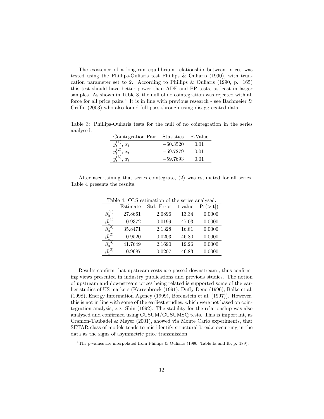The existence of a long-run equilibrium relationship between prices was tested using the Phillips-Ouliaris test Phillips & Ouliaris (1990), with truncation parameter set to 2. According to Phillips & Ouliaris (1990, p. 165) this test should have better power than ADF and PP tests, at least in larger samples. As shown in Table 3, the null of no cointegration was rejected with all force for all price pairs.<sup>4</sup> It is in line with previous research - see Bachmeier  $\&$ Griffin (2003) who also found full pass-through using disaggregated data.

Table 3: Phillips-Ouliaris tests for the null of no cointegration in the series analysed.

| Cointegration Pair Statistics P-Value |            |      |
|---------------------------------------|------------|------|
| $\cdot x_t$                           | $-60.3520$ | 0.01 |
| $x_t$                                 | $-59.7279$ | 0.01 |
| (3)<br>$x_t$                          | $-59.7693$ | 0.01 |

After ascertaining that series cointegrate, (2) was estimated for all series. Table 4 presents the results.

|                 |          | rapid 1. Only commanded of the series amonybed. |         |          |
|-----------------|----------|-------------------------------------------------|---------|----------|
|                 | Estimate | Std. Error                                      | t value | Pr(> t ) |
|                 | 27.8661  | 2.0896                                          | 13.34   | 0.0000   |
| $\beta_1^{(1)}$ | 0.9372   | 0.0199                                          | 47.03   | 0.0000   |
| $\beta_0^{(2)}$ | 35.8471  | 2.1328                                          | 16.81   | 0.0000   |
| $\beta_1^{(2)}$ | 0.9520   | 0.0203                                          | 46.80   | 0.0000   |
| $\beta_0^{(3)}$ | 41.7649  | 2.1690                                          | 19.26   | 0.0000   |
| $\beta_1^{(3)}$ | 0.9687   | 0.0207                                          | 46.83   | 0.0000   |
|                 |          |                                                 |         |          |

Table 4: OLS estimation of the series analysed.

Results confirm that upstream costs are passed downstream , thus confirming views presented in industry publications and previous studies. The notion of upstream and downstream prices being related is supported some of the earlier studies of US markets (Karrenbrock (1991), Duffy-Deno (1996), Balke et al. (1998), Energy Information Agency (1999), Borenstein et al. (1997)). However, this is not in line with some of the earliest studies, which were not based on cointegration analysis, e.g. Shin (1992). The stability for the relationship was also analysed and confirmed using CUSUM/CUSUMSQ tests. This is important, as Cramon-Taubadel & Mayer (2001), showed via Monte Carlo experiments, that SETAR class of models tends to mis-identify structural breaks occurring in the data as the signs of asymmetric price transmission.

<sup>4</sup>The p-values are interpolated from Phillips & Ouliaris (1990, Table Ia and Ib, p. 189).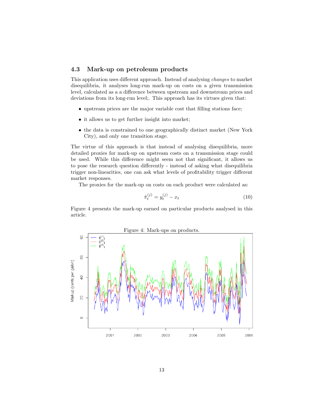#### 4.3 Mark-up on petroleum products

This application uses different approach. Instead of analysing changes to market disequilibria, it analyses long-run mark-up on costs on a given transmission level, calculated as a a difference between upstream and downstream prices and deviations from its long-run level;. This approach has its virtues given that:

- upstream prices are the major variable cost that filling stations face;
- it allows us to get further insight into market;
- the data is constrained to one geographically distinct market (New York City), and only one transition stage.

The virtue of this approach is that instead of analysing disequilibria, more detailed proxies for mark-up on upstream costs on a transmission stage could be used. While this difference might seem not that significant, it allows us to pose the research question differently - instead of asking what disequilibria trigger non-linearities, one can ask what levels of profitability trigger different market responses.

The proxies for the mark-up on costs on each product were calculated as:

$$
\hat{\pi}_t^{(j)} = y_t^{(j)} - x_t \tag{10}
$$

Figure 4 presents the mark-up earned on particular products analysed in this article.

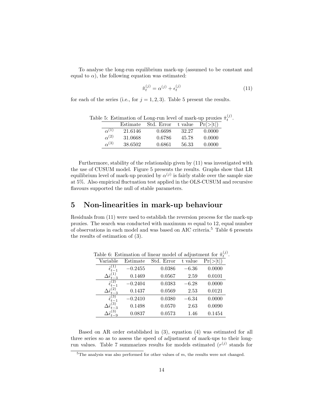To analyse the long-run equilibrium mark-up (assumed to be constant and equal to  $\alpha$ ), the following equation was estimated:

$$
\hat{\pi}_t^{(j)} = \alpha^{(j)} + \epsilon_t^{(j)} \tag{11}
$$

for each of the series (i.e., for  $j = 1, 2, 3$ ). Table 5 present the results.

|                | Estimate | Std. Error | t value | Pr(> t ) |
|----------------|----------|------------|---------|----------|
| $\alpha^{(1)}$ | 21.6146  | 0.6698     | 32.27   | 0.0000   |
| $\alpha^{(2)}$ | 31.0668  | 0.6786     | 45.78   | 0.0000   |
| $\alpha^{(3)}$ | 38.6502  | 0.6861     | 56.33   | 0.0000   |

Table 5: Estimation of Long-run level of mark-up proxies  $\hat{\pi}_t^{(j)}$ .

Furthermore, stability of the relationship given by (11) was investigated with the use of CUSUM model. Figure 5 presents the results. Graphs show that LR equilibrium level of mark-up proxied by  $\alpha^{(j)}$  is fairly stable over the sample size at 5%. Also empirical fluctuation test applied in the OLS-CUSUM and recursive flavours supported the null of stable parameters.

### 5 Non-linearities in mark-up behaviour

Residuals from (11) were used to establish the reversion process for the mark-up proxies. The search was conducted with maximum  $m$  equal to 12, equal number of observations in each model and was based on AIC criteria.<sup>5</sup> Table 6 presents the results of estimation of (3).

|          | mother of the case of the control of the control of the |            |         |          |
|----------|---------------------------------------------------------|------------|---------|----------|
| Variable | Estimate                                                | Std. Error | t value | Pr(> t ) |
|          | $-0.2455$                                               | 0.0386     | $-6.36$ | 0.0000   |
|          | 0.1469                                                  | 0.0567     | 2.59    | 0.0101   |
|          | $-0.2404$                                               | 0.0383     | $-6.28$ | 0.0000   |
|          | 0.1437                                                  | 0.0569     | 2.53    | 0.0121   |
|          | $-0.2410$                                               | 0.0380     | $-6.34$ | 0.0000   |
|          | 0.1498                                                  | 0.0570     | 2.63    | 0.0090   |
|          | 0.0837                                                  | 0.0573     | 1.46    | 0.1454   |

Table 6: Estimation of linear model of adjustment for  $\hat{\pi}_{t}^{(j)}$ .

Based on AR order established in (3), equation (4) was estimated for all three series so as to assess the speed of adjustment of mark-ups to their longrun values. Table 7 summarizes results for models estimated  $(r^{(j)}$  stands for

 $\overline{5}$ The analysis was also performed for other values of m, the results were not changed.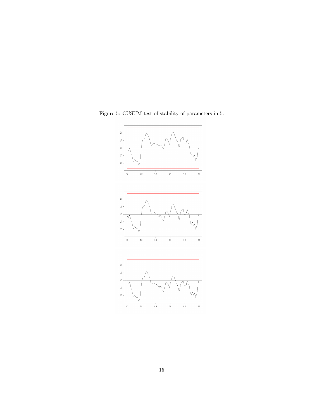

Figure 5: CUSUM test of stability of parameters in 5.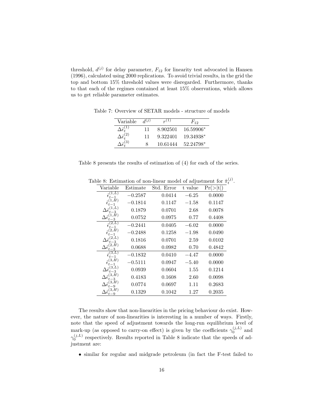threshold,  $d^{(j)}$  for delay parameter,  $F_{12}$  for linearity test advocated in Hansen (1996), calculated using 2000 replications. To avoid trivial results, in the grid the top and bottom 15% threshold values were disregarded. Furthermore, thanks to that each of the regimes contained at least 15% observations, which allows us to get reliable parameter estimates.

Table 7: Overview of SETAR models - structure of models

| Variable                                     | $d^{(j)}$ | $r^{(1)}$ | $F_{12}$  |
|----------------------------------------------|-----------|-----------|-----------|
| $\Delta\hat{\epsilon}^{(1)}_\text{\tiny{+}}$ | 11        | 8.902501  | 16.59906* |
| $\Delta \hat{\epsilon}_t^{(2)}$              | 11        | 9.322401  | 19.34938* |
| $\Delta\hat{\epsilon}_{\star}^{(3)}$         | 8         | 10.61444  | 52.24798* |

Table 8 presents the results of estimation of (4) for each of the series.

| Variable                                      | Estimate  | Std. Error | t value | Pr(> t ) |
|-----------------------------------------------|-----------|------------|---------|----------|
|                                               | $-0.2587$ | 0.0414     | $-6.25$ | 0.0000   |
|                                               | $-0.1814$ | 0.1147     | $-1.58$ | 0.1147   |
| -3                                            | 0.1879    | 0.0701     | 2.68    | 0.0078   |
| $\Delta \hat{\epsilon}_t^\mathrm{t}$<br>-3    | 0.0752    | 0.0975     | 0.77    | 0.4408   |
|                                               | $-0.2441$ | 0.0405     | $-6.02$ | 0.0000   |
|                                               | $-0.2488$ | 0.1258     | $-1.98$ | 0.0490   |
| $-3$                                          | 0.1816    | 0.0701     | 2.59    | 0.0102   |
| 2.H<br>$\Delta \hat{\epsilon}_t^{\mathrm{V}}$ | 0.0688    | 0.0982     | 0.70    | 0.4842   |
|                                               | $-0.1832$ | 0.0410     | $-4.47$ | 0.0000   |
| 3.H                                           | $-0.5111$ | 0.0947     | $-5.40$ | 0.0000   |
| 3,L)<br>$t-3$                                 | 0.0939    | 0.0604     | 1.55    | 0.1214   |
| (3,H)<br>-3                                   | 0.4183    | 0.1608     | 2.60    | 0.0098   |
| 3, H)                                         | 0.0774    | 0.0697     | 1.11    | 0.2683   |
| $3.H$ )                                       | 0.1329    | 0.1042     | 1.27    | 0.2035   |

Table 8: Estimation of non-linear model of adjustment for  $\hat{\pi}_{t}^{(j)}$ .

The results show that non-linearities in the pricing behaviour do exist. However, the nature of non-linearities is interesting in a number of ways. Firstly, note that the speed of adjustment towards the long-run equilibrium level of mark-up (as opposed to carry-on effect) is given by the coefficients  $\gamma_0^{(j,L)}$  and  $\gamma_0^{(j,L)}$  respectively. Results reported in Table 8 indicate that the speeds of adjustment are:

• similar for regular and midgrade petroleum (in fact the F-test failed to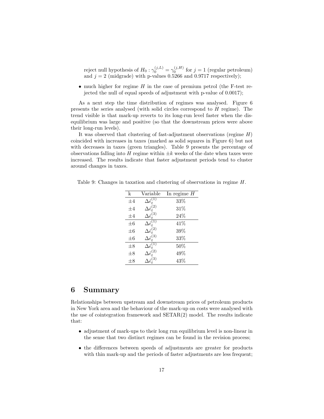reject null hypothesis of  $H_0: \gamma_0^{(j,L)} = \gamma_0^{(j,H)}$  for  $j = 1$  (regular petroleum) and  $j = 2$  (midgrade) with p-values 0.5266 and 0.9717 respectively);

• much higher for regime  $H$  in the case of premium petrol (the F-test rejected the null of equal speeds of adjustment with p-value of 0.0017);

As a next step the time distribution of regimes was analysed. Figure 6 presents the series analysed (with solid circles correspond to  $H$  regime). The trend visible is that mark-up reverts to its long-run level faster when the disequilibrium was large and positive (so that the downstream prices were above their long-run levels).

It was observed that clustering of fast-adjustment observations (regime  $H$ ) coincided with increases in taxes (marked as solid squares in Figure 6) but not with decreases in taxes (green triangles). Table 9 presents the percentage of observations falling into H regime within  $\pm k$  weeks of the date when taxes were increased. The results indicate that faster adjustment periods tend to cluster around changes in taxes.

| k       | Variable                                                 | In regime $H$ |
|---------|----------------------------------------------------------|---------------|
| $\pm 4$ | $\Delta \hat{\epsilon}_{t}^{(1)}$                        | $33\%$        |
| $\pm 4$ | $\Delta \hat{\epsilon}_t^{(2)}$                          | 31%           |
| $\pm 4$ | $\Delta \hat{\epsilon}_{\text{\tiny{f}}}^{(3)}$          | 24%           |
| $\pm 6$ | $\Delta \hat{\epsilon}^{(\bar{1})}_t$                    | 41%           |
| $\pm 6$ | $\Delta \hat{\epsilon}_{\scriptscriptstyle \sf f}^{(2)}$ | 39%           |
| $\pm 6$ | $\Delta \hat{\epsilon}^{(3)}_t$                          | 33%           |
| $\pm 8$ | $\Delta \hat{\epsilon}^{\prime}_i$                       | $50\%$        |
| $\pm 8$ | $\Delta \hat{\epsilon}_{t}^{(2)}$                        | 49%           |
| $\pm 8$ | $\Delta \hat{\epsilon}^{(3)}$                            | 43%           |

Table 9: Changes in taxation and clustering of observations in regime H.

## 6 Summary

Relationships between upstream and downstream prices of petroleum products in New York area and the behaviour of the mark-up on costs were analysed with the use of cointegration framework and SETAR(2) model. The results indicate that:

- adjustment of mark-ups to their long run equilibrium level is non-linear in the sense that two distinct regimes can be found in the revision process;
- the differences between speeds of adjustments are greater for products with thin mark-up and the periods of faster adjustments are less frequent;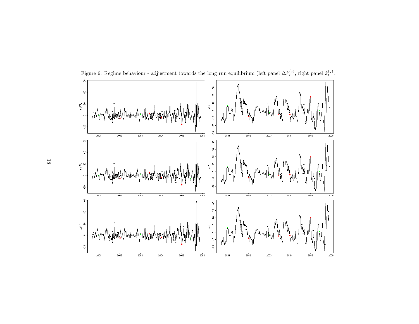

Figure 6: Regime behaviour - adjustment towards the long run equilibrium (left panel  $\Delta \hat{\pi}_t^{(j)}$ , right panel  $\hat{\pi}_t^{(j)}$ .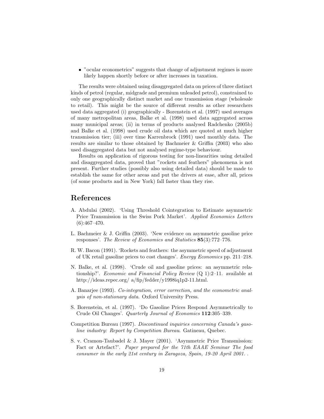• "ocular econometrics" suggests that change of adjustment regimes is more likely happen shortly before or after increases in taxation.

The results were obtained using disaggregated data on prices of three distinct kinds of petrol (regular, midgrade and premium unleaded petrol), constrained to only one geographically distinct market and one transmission stage (wholesale to retail). This might be the source of different results as other researchers used data aggregated (i) geographically - Borenstein et al. (1997) used averages of many metropolitan areas, Balke et al. (1998) used data aggregated across many municipal areas; (ii) in terms of products analysed Radchenko (2005b) and Balke et al. (1998) used crude oil data which are quoted at much higher transmission tier; (iii) over time Karrenbrock (1991) used monthly data. The results are similar to those obtained by Bachmeier & Griffin (2003) who also used disaggregated data but not analysed regime-type behaviour.

Results on application of rigorous testing for non-linearities using detailed and disaggregated data, proved that "rockets and feathers" phenomena is not present. Further studies (possibly also using detailed data) should be made to establish the same for other areas and put the drivers at ease, after all, prices (of some products and in New York) fall faster than they rise.

## References

- A. Abdulai (2002). 'Using Threshold Cointegration to Estimate asymmetric Price Transmission in the Swiss Pork Market'. Applied Economics Letters  $(6):467-470.$
- L. Bachmeier & J. Griffin (2003). 'New evidence on asymmetric gasoline price responses'. The Review of Economics and Statistics 85(3):772–776.
- R. W. Bacon (1991). 'Rockets and feathers: the asymmetric speed of adjustment of UK retail gasoline prices to cost changes'. Energy Economics pp. 211–218.
- N. Balke, et al. (1998). 'Crude oil and gasoline prices: an asymmetric relationship?'. *Economic and Financial Policy Review*  $(Q_1)$ : 2–11. available at http://ideas.repec.org/ a/fip/fedder/y1998iq1p2-11.html.
- A. Banarjee (1993). Co-integration, error correction, and the econometric analysis of non-stationary data. Oxford University Press.
- S. Borenstein, et al. (1997). 'Do Gasoline Prices Respond Asymmetrically to Crude Oil Changes'. Quarterly Journal of Economics 112:305–339.
- Competition Bureau (1997). Discontinued inquiries concerning Canada's gasoline industry: Report by Competition Bureau. Gatineau, Quebec.
- S. v. Cramon-Taubadel & J. Mayer (2001). 'Asymmetric Price Transmission: Fact or Artefact?'. Paper prepared for the 71th EAAE Seminar The food consumer in the early 21st century in Zaragoza, Spain, 19-20 April 2001. .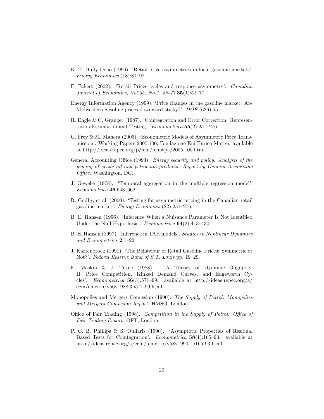- K. T. Duffy-Deno (1996). 'Retail price asymmetries in local gasoline markets'. Energy Economics (18):81–92.
- E. Eckert (2002). 'Retail Prices cycles and response asymmetry'. Canadian Journal of Economics, Vol.35, No.1, 52-77 35(1):52–77.
- Energy Information Agency (1999). 'Price changes in the gasoline market: Are Midwestern gasoline prices downward sticky?'. DOE (626):55+.
- R. Engle & C. Granger (1987). 'Cointegration and Error Correction: Representation Estimation and Testing'. Econometrica 55(2):251–276.
- G. Frey & M. Manera (2005). 'Econometric Models of Asymmetric Price Transmission'. Working Papers 2005.100, Fondazione Eni Enrico Mattei. available at http://ideas.repec.org/p/fem/femwpa/2005.100.html.
- General Accounting Office (1993). Energy security and policy: Analysis of the pricing of crude oil and petroleum products: Report by General Accounting Office. Washington, DC.
- J. Geweke (1978). 'Temporal aggregation in the multiple regression model'. Econometrica 46:643–662.
- R. Godby, et al. (2000). 'Testing for asymmetric pricing in the Canadian retail gasoline market'. Energy Economics (22):251–276.
- B. E. Hansen (1996). 'Inference When a Nuisance Parameter Is Not Identified Under the Null Hypothesis'. Econometrica **64**(2):413-430.
- B. E. Hansen (1997). 'Inference in TAR models'. Studies in Nonlinear Dynamics and Econometrics 2:1–22.
- J. Karrenbrock (1991). 'The Behaviour of Retail Gasoline Prices: Symmetric or Not?'. Federal Reserve Bank of S.T. Louis pp. 19–29.
- E. Maskin & J. Tirole (1988). 'A Theory of Dynamic Oligopoly, II: Price Competition, Kinked Demand Curves, and Edgeworth Cycles'. Econometrica 56(3):571–99. available at http://ideas.repec.org/a/ ecm/emetrp/v56y1988i3p571-99.html.
- Monopolies and Mergers Comission (1990). The Supply of Petrol: Monopolies and Mergers Comission Report. HMSO, London.
- Office of Fair Trading (1998). Competition in the Supply of Petrol: Office of Fair Trading Report. OFT, London.
- P. C. B. Phillips & S. Ouliaris (1990). 'Asymptotic Properties of Residual Based Tests for Cointegration'. Econometrica 58(1):165–93. available at http://ideas.repec.org/a/ecm/ emetrp/v58y1990i1p165-93.html.